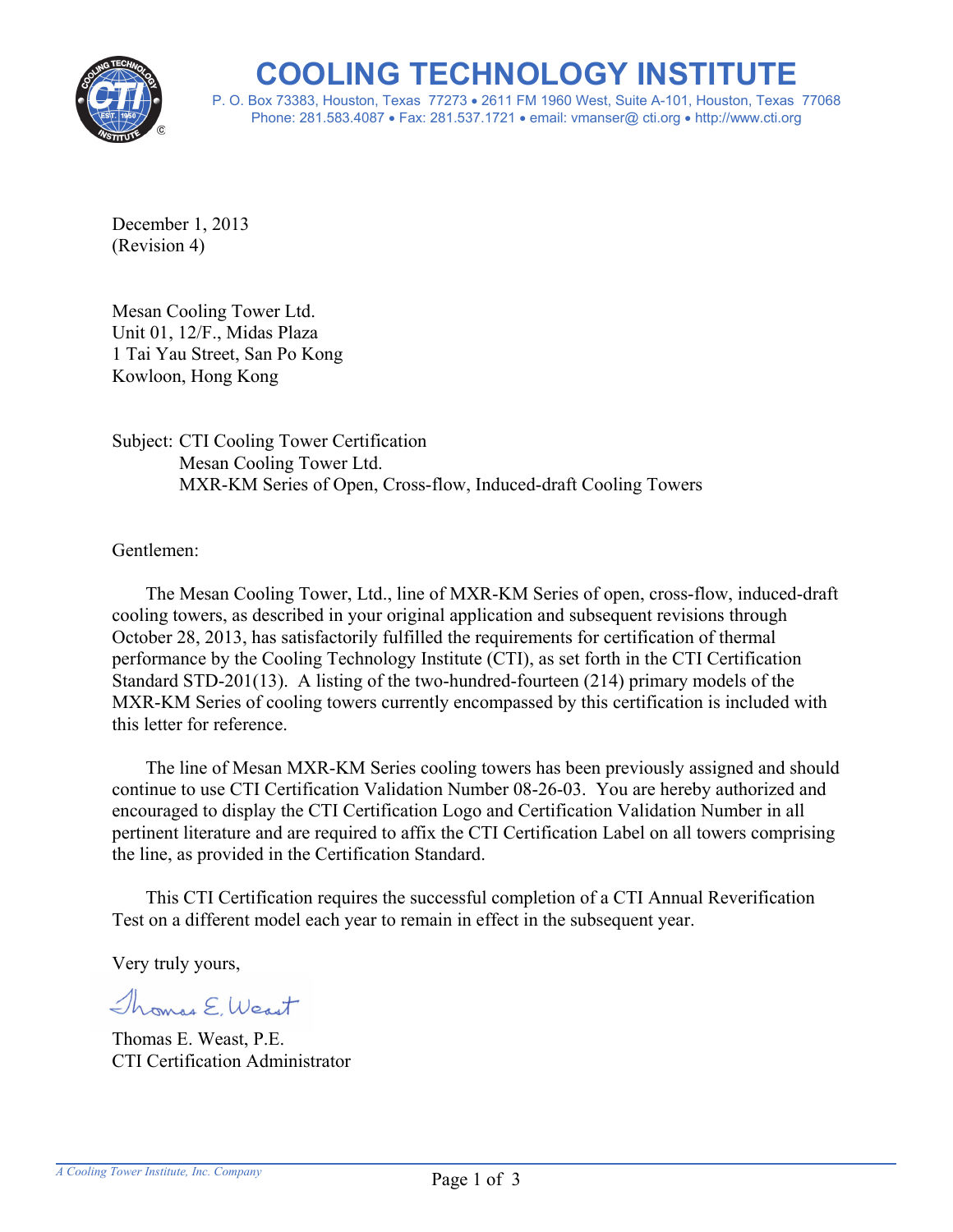

**COOLING TECHNOLOGY INSTITUTE** P. O. Box 73383, Houston, Texas 77273 2611 FM 1960 West, Suite A-101, Houston, Texas 77068 Phone: 281.583.4087 Fax: 281.537.1721 email: vmanser@ cti.org http://www.cti.org

December 1, 2013 (Revision 4)

Mesan Cooling Tower Ltd. Unit 01, 12/F., Midas Plaza 1 Tai Yau Street, San Po Kong Kowloon, Hong Kong

Subject: CTI Cooling Tower Certification Mesan Cooling Tower Ltd. MXR-KM Series of Open, Cross-flow, Induced-draft Cooling Towers

Gentlemen:

The Mesan Cooling Tower, Ltd., line of MXR-KM Series of open, cross-flow, induced-draft cooling towers, as described in your original application and subsequent revisions through October 28, 2013, has satisfactorily fulfilled the requirements for certification of thermal performance by the Cooling Technology Institute (CTI), as set forth in the CTI Certification Standard STD-201(13). A listing of the two-hundred-fourteen (214) primary models of the MXR-KM Series of cooling towers currently encompassed by this certification is included with this letter for reference.

The line of Mesan MXR-KM Series cooling towers has been previously assigned and should continue to use CTI Certification Validation Number 08-26-03. You are hereby authorized and encouraged to display the CTI Certification Logo and Certification Validation Number in all pertinent literature and are required to affix the CTI Certification Label on all towers comprising the line, as provided in the Certification Standard.

This CTI Certification requires the successful completion of a CTI Annual Reverification Test on a different model each year to remain in effect in the subsequent year.

Very truly yours,

Thomas E. West

Thomas E. Weast, P.E. CTI Certification Administrator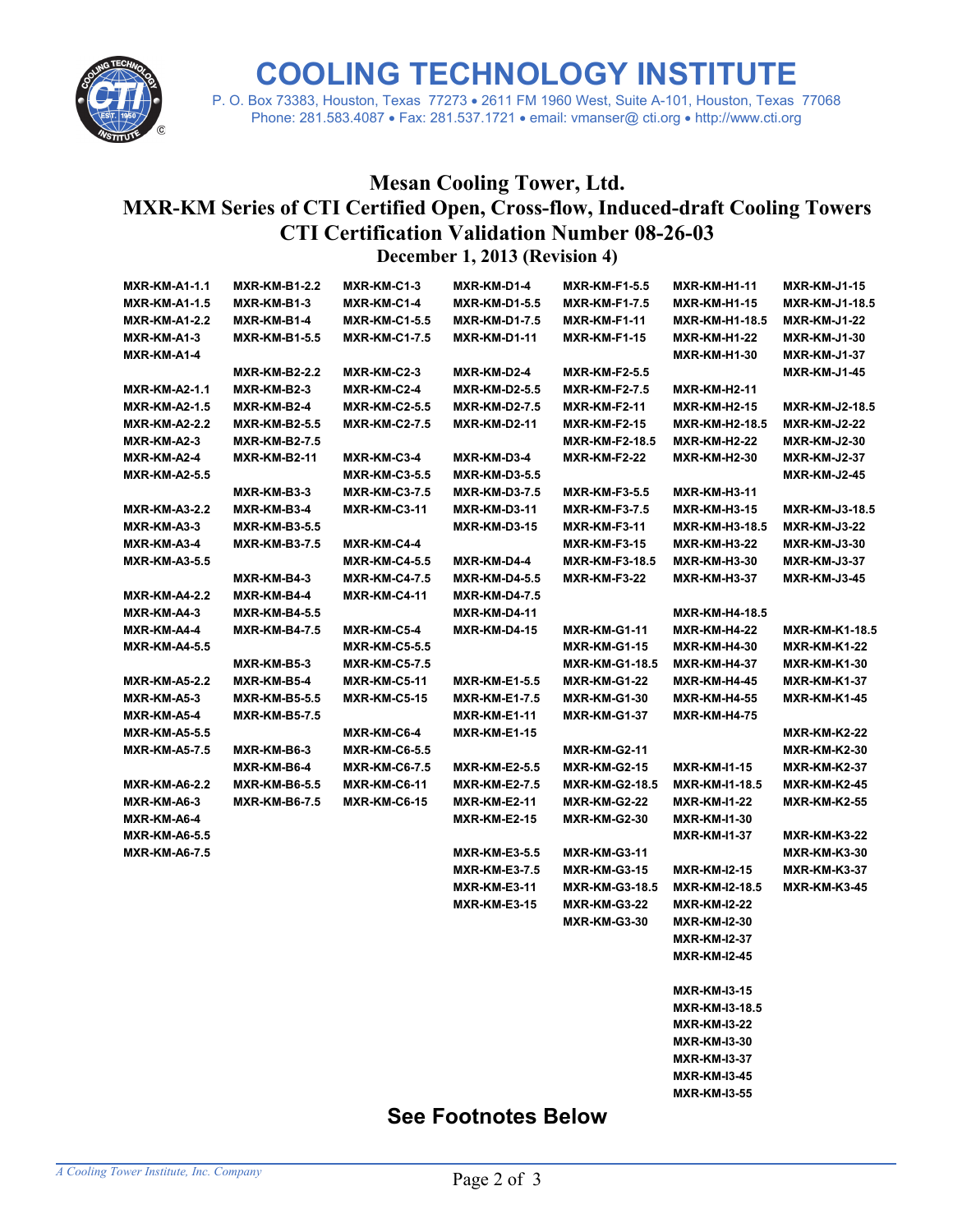

**COOLING TECHNOLOGY INSTITUTE**

P. O. Box 73383, Houston, Texas 77273 2611 FM 1960 West, Suite A-101, Houston, Texas 77068 Phone: 281.583.4087 Fax: 281.537.1721 email: vmanser@ cti.org http://www.cti.org

## **Mesan Cooling Tower, Ltd. MXR-KM Series of CTI Certified Open, Cross-flow, Induced-draft Cooling Towers CTI Certification Validation Number 08-26-03 December 1, 2013 (Revision 4)**

| <b>MXR-KM-A1-1.1</b> | <b>MXR-KM-B1-2.2</b> | MXR-KM-C1-3          | MXR-KM-D1-4          | MXR-KM-F1-5.5         | <b>MXR-KM-H1-11</b>   | <b>MXR-KM-J1-15</b>   |
|----------------------|----------------------|----------------------|----------------------|-----------------------|-----------------------|-----------------------|
| <b>MXR-KM-A1-1.5</b> | MXR-KM-B1-3          | MXR-KM-C1-4          | <b>MXR-KM-D1-5.5</b> | <b>MXR-KM-F1-7.5</b>  | <b>MXR-KM-H1-15</b>   | <b>MXR-KM-J1-18.5</b> |
| <b>MXR-KM-A1-2.2</b> | MXR-KM-B1-4          | <b>MXR-KM-C1-5.5</b> | <b>MXR-KM-D1-7.5</b> | MXR-KM-F1-11          | <b>MXR-KM-H1-18.5</b> | <b>MXR-KM-J1-22</b>   |
| MXR-KM-A1-3          | <b>MXR-KM-B1-5.5</b> | <b>MXR-KM-C1-7.5</b> | <b>MXR-KM-D1-11</b>  | MXR-KM-F1-15          | <b>MXR-KM-H1-22</b>   | <b>MXR-KM-J1-30</b>   |
| MXR-KM-A1-4          |                      |                      |                      |                       | <b>MXR-KM-H1-30</b>   | <b>MXR-KM-J1-37</b>   |
|                      | <b>MXR-KM-B2-2.2</b> | MXR-KM-C2-3          | MXR-KM-D2-4          | MXR-KM-F2-5.5         |                       | <b>MXR-KM-J1-45</b>   |
| <b>MXR-KM-A2-1.1</b> | MXR-KM-B2-3          | MXR-KM-C2-4          | <b>MXR-KM-D2-5.5</b> | <b>MXR-KM-F2-7.5</b>  | <b>MXR-KM-H2-11</b>   |                       |
| <b>MXR-KM-A2-1.5</b> | MXR-KM-B2-4          | <b>MXR-KM-C2-5.5</b> | <b>MXR-KM-D2-7.5</b> | <b>MXR-KM-F2-11</b>   | <b>MXR-KM-H2-15</b>   | <b>MXR-KM-J2-18.5</b> |
| <b>MXR-KM-A2-2.2</b> | <b>MXR-KM-B2-5.5</b> | <b>MXR-KM-C2-7.5</b> | <b>MXR-KM-D2-11</b>  | <b>MXR-KM-F2-15</b>   | <b>MXR-KM-H2-18.5</b> | <b>MXR-KM-J2-22</b>   |
| MXR-KM-A2-3          | <b>MXR-KM-B2-7.5</b> |                      |                      | MXR-KM-F2-18.5        | <b>MXR-KM-H2-22</b>   | <b>MXR-KM-J2-30</b>   |
| MXR-KM-A2-4          | <b>MXR-KM-B2-11</b>  | MXR-KM-C3-4          | MXR-KM-D3-4          | MXR-KM-F2-22          | <b>MXR-KM-H2-30</b>   | <b>MXR-KM-J2-37</b>   |
| <b>MXR-KM-A2-5.5</b> |                      | <b>MXR-KM-C3-5.5</b> | <b>MXR-KM-D3-5.5</b> |                       |                       | <b>MXR-KM-J2-45</b>   |
|                      | MXR-KM-B3-3          | <b>MXR-KM-C3-7.5</b> | <b>MXR-KM-D3-7.5</b> | <b>MXR-KM-F3-5.5</b>  | <b>MXR-KM-H3-11</b>   |                       |
| <b>MXR-KM-A3-2.2</b> | MXR-KM-B3-4          | <b>MXR-KM-C3-11</b>  | <b>MXR-KM-D3-11</b>  | MXR-KM-F3-7.5         | <b>MXR-KM-H3-15</b>   | MXR-KM-J3-18.5        |
| MXR-KM-A3-3          | <b>MXR-KM-B3-5.5</b> |                      | <b>MXR-KM-D3-15</b>  | MXR-KM-F3-11          | <b>MXR-KM-H3-18.5</b> | <b>MXR-KM-J3-22</b>   |
| MXR-KM-A3-4          | <b>MXR-KM-B3-7.5</b> | MXR-KM-C4-4          |                      | MXR-KM-F3-15          | <b>MXR-KM-H3-22</b>   | <b>MXR-KM-J3-30</b>   |
| <b>MXR-KM-A3-5.5</b> |                      | <b>MXR-KM-C4-5.5</b> | MXR-KM-D4-4          | MXR-KM-F3-18.5        | <b>MXR-KM-H3-30</b>   | MXR-KM-J3-37          |
|                      | MXR-KM-B4-3          | <b>MXR-KM-C4-7.5</b> | <b>MXR-KM-D4-5.5</b> | MXR-KM-F3-22          | <b>MXR-KM-H3-37</b>   | <b>MXR-KM-J3-45</b>   |
| <b>MXR-KM-A4-2.2</b> | MXR-KM-B4-4          | <b>MXR-KM-C4-11</b>  | <b>MXR-KM-D4-7.5</b> |                       |                       |                       |
| MXR-KM-A4-3          | <b>MXR-KM-B4-5.5</b> |                      | <b>MXR-KM-D4-11</b>  |                       | <b>MXR-KM-H4-18.5</b> |                       |
| MXR-KM-A4-4          | <b>MXR-KM-B4-7.5</b> | MXR-KM-C5-4          | <b>MXR-KM-D4-15</b>  | <b>MXR-KM-G1-11</b>   | <b>MXR-KM-H4-22</b>   | <b>MXR-KM-K1-18.5</b> |
| <b>MXR-KM-A4-5.5</b> |                      | <b>MXR-KM-C5-5.5</b> |                      | <b>MXR-KM-G1-15</b>   | <b>MXR-KM-H4-30</b>   | <b>MXR-KM-K1-22</b>   |
|                      | MXR-KM-B5-3          | <b>MXR-KM-C5-7.5</b> |                      | <b>MXR-KM-G1-18.5</b> | <b>MXR-KM-H4-37</b>   | MXR-KM-K1-30          |
| <b>MXR-KM-A5-2.2</b> | MXR-KM-B5-4          | <b>MXR-KM-C5-11</b>  | <b>MXR-KM-E1-5.5</b> | MXR-KM-G1-22          | <b>MXR-KM-H4-45</b>   | <b>MXR-KM-K1-37</b>   |
| MXR-KM-A5-3          | <b>MXR-KM-B5-5.5</b> | <b>MXR-KM-C5-15</b>  | <b>MXR-KM-E1-7.5</b> | <b>MXR-KM-G1-30</b>   | <b>MXR-KM-H4-55</b>   | MXR-KM-K1-45          |
| MXR-KM-A5-4          | <b>MXR-KM-B5-7.5</b> |                      | <b>MXR-KM-E1-11</b>  | <b>MXR-KM-G1-37</b>   | <b>MXR-KM-H4-75</b>   |                       |
| <b>MXR-KM-A5-5.5</b> |                      | MXR-KM-C6-4          | <b>MXR-KM-E1-15</b>  |                       |                       | MXR-KM-K2-22          |
| <b>MXR-KM-A5-7.5</b> | MXR-KM-B6-3          | <b>MXR-KM-C6-5.5</b> |                      | <b>MXR-KM-G2-11</b>   |                       | <b>MXR-KM-K2-30</b>   |
|                      | MXR-KM-B6-4          | <b>MXR-KM-C6-7.5</b> | <b>MXR-KM-E2-5.5</b> | <b>MXR-KM-G2-15</b>   | <b>MXR-KM-I1-15</b>   | <b>MXR-KM-K2-37</b>   |
| <b>MXR-KM-A6-2.2</b> | <b>MXR-KM-B6-5.5</b> | <b>MXR-KM-C6-11</b>  | <b>MXR-KM-E2-7.5</b> | <b>MXR-KM-G2-18.5</b> | MXR-KM-I1-18.5        | <b>MXR-KM-K2-45</b>   |
| MXR-KM-A6-3          | <b>MXR-KM-B6-7.5</b> | <b>MXR-KM-C6-15</b>  | MXR-KM-E2-11         | MXR-KM-G2-22          | <b>MXR-KM-I1-22</b>   | MXR-KM-K2-55          |
| MXR-KM-A6-4          |                      |                      | <b>MXR-KM-E2-15</b>  | MXR-KM-G2-30          | <b>MXR-KM-I1-30</b>   |                       |
| <b>MXR-KM-A6-5.5</b> |                      |                      |                      |                       | <b>MXR-KM-I1-37</b>   | MXR-KM-K3-22          |
| <b>MXR-KM-A6-7.5</b> |                      |                      | <b>MXR-KM-E3-5.5</b> | <b>MXR-KM-G3-11</b>   |                       | <b>MXR-KM-K3-30</b>   |
|                      |                      |                      | <b>MXR-KM-E3-7.5</b> | <b>MXR-KM-G3-15</b>   | <b>MXR-KM-I2-15</b>   | <b>MXR-KM-K3-37</b>   |
|                      |                      |                      | <b>MXR-KM-E3-11</b>  | <b>MXR-KM-G3-18.5</b> | <b>MXR-KM-I2-18.5</b> | MXR-KM-K3-45          |
|                      |                      |                      | <b>MXR-KM-E3-15</b>  | MXR-KM-G3-22          | <b>MXR-KM-I2-22</b>   |                       |
|                      |                      |                      |                      | <b>MXR-KM-G3-30</b>   | <b>MXR-KM-I2-30</b>   |                       |
|                      |                      |                      |                      |                       | <b>MXR-KM-I2-37</b>   |                       |
|                      |                      |                      |                      |                       | <b>MXR-KM-I2-45</b>   |                       |
|                      |                      |                      |                      |                       |                       |                       |
|                      |                      |                      |                      |                       | <b>MXR-KM-I3-15</b>   |                       |
|                      |                      |                      |                      |                       | <b>MXR-KM-I3-18.5</b> |                       |
|                      |                      |                      |                      |                       | <b>MXR-KM-I3-22</b>   |                       |
|                      |                      |                      |                      |                       | <b>MXR-KM-I3-30</b>   |                       |
|                      |                      |                      |                      |                       | <b>MXR-KM-I3-37</b>   |                       |
|                      |                      |                      |                      |                       | <b>MXR-KM-I3-45</b>   |                       |
|                      |                      |                      |                      |                       | <b>MXR-KM-I3-55</b>   |                       |

## **See Footnotes Below**